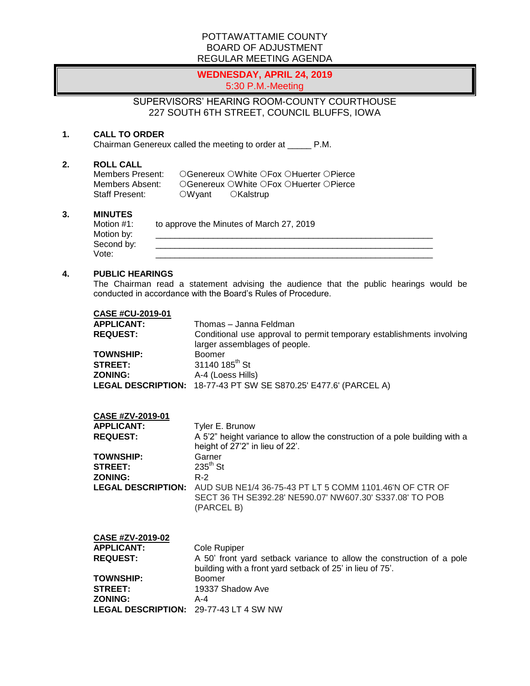## POTTAWATTAMIE COUNTY BOARD OF ADJUSTMENT REGULAR MEETING AGENDA

## **WEDNESDAY, APRIL 24, 2019** 5:30 P.M.-Meeting

## SUPERVISORS' HEARING ROOM-COUNTY COURTHOUSE 227 SOUTH 6TH STREET, COUNCIL BLUFFS, IOWA

## **1. CALL TO ORDER**

Chairman Genereux called the meeting to order at \_\_\_\_\_ P.M.

#### **2. ROLL CALL**

| Members Present:      |        | ○Genereux ○White ○Fox ○Huerter ○Pierce |
|-----------------------|--------|----------------------------------------|
| Members Absent:       |        | ○Genereux ○White ○Fox ○Huerter ○Pierce |
| <b>Staff Present:</b> | ○Wyant | ○Kalstrup                              |

#### **3. MINUTES**

| Motion #1: | to approve the Minutes of March 27, 2019 |
|------------|------------------------------------------|
| Motion by: |                                          |
| Second by: |                                          |
| Vote:      |                                          |

#### **4. PUBLIC HEARINGS**

The Chairman read a statement advising the audience that the public hearings would be conducted in accordance with the Board's Rules of Procedure.

## **CASE #CU-2019-01**

| APPLICANT:       | Thomas - Janna Feldman                                                                                 |
|------------------|--------------------------------------------------------------------------------------------------------|
| <b>REQUEST:</b>  | Conditional use approval to permit temporary establishments involving<br>larger assemblages of people. |
| <b>TOWNSHIP:</b> | Boomer                                                                                                 |
| <b>STREET:</b>   | 31140 185 <sup>th</sup> St                                                                             |
| <b>ZONING:</b>   | A-4 (Loess Hills)                                                                                      |
|                  | LEGAL DESCRIPTION: 18-77-43 PT SW SE S870.25' E477.6' (PARCEL A)                                       |

| CASE #ZV-2019-01          |                                                                                                                                   |
|---------------------------|-----------------------------------------------------------------------------------------------------------------------------------|
| <b>APPLICANT:</b>         | Tyler E. Brunow                                                                                                                   |
| <b>REQUEST:</b>           | A 5'2" height variance to allow the construction of a pole building with a<br>height of 27'2" in lieu of 22'.                     |
| <b>TOWNSHIP:</b>          | Garner                                                                                                                            |
| <b>STREET:</b>            | $235^{\text{th}}$ St                                                                                                              |
| <b>ZONING:</b>            | $R-2$                                                                                                                             |
| <b>LEGAL DESCRIPTION:</b> | AUD SUB NE1/4 36-75-43 PT LT 5 COMM 1101.46'N OF CTR OF<br>SECT 36 TH SE392.28' NE590.07' NW607.30' S337.08' TO POB<br>(PARCEL B) |

| CASE #ZV-2019-02                              |                                                                       |
|-----------------------------------------------|-----------------------------------------------------------------------|
| <b>APPLICANT:</b>                             | Cole Rupiper                                                          |
| <b>REQUEST:</b>                               | A 50' front yard setback variance to allow the construction of a pole |
|                                               | building with a front yard setback of 25' in lieu of 75'.             |
| <b>TOWNSHIP:</b>                              | Boomer                                                                |
| <b>STREET:</b>                                | 19337 Shadow Ave                                                      |
| <b>ZONING:</b>                                | A-4                                                                   |
| <b>LEGAL DESCRIPTION: 29-77-43 LT 4 SW NW</b> |                                                                       |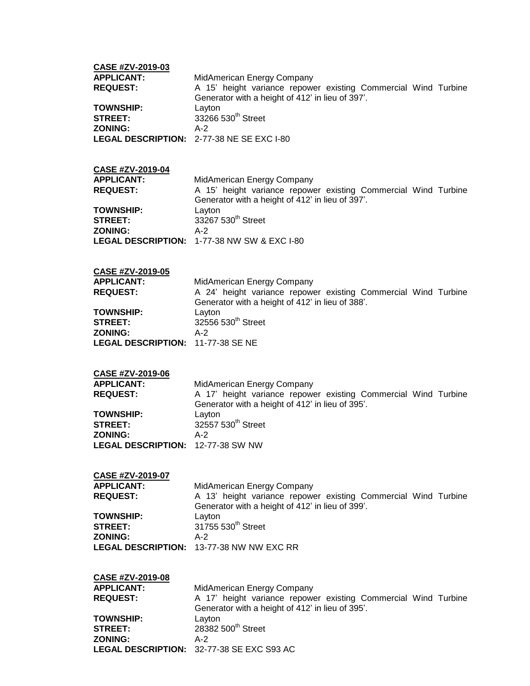| <b>CASE #ZV-2019-03</b><br><b>APPLICANT:</b><br><b>REQUEST:</b><br><b>TOWNSHIP:</b><br><b>STREET:</b><br><b>ZONING:</b>                                      | MidAmerican Energy Company<br>A 15' height variance repower existing Commercial Wind Turbine<br>Generator with a height of 412' in lieu of 397'.<br>Layton<br>33266 530 <sup>th</sup> Street<br>$A-2$<br>LEGAL DESCRIPTION: 2-77-38 NE SE EXC I-80   |  |
|--------------------------------------------------------------------------------------------------------------------------------------------------------------|------------------------------------------------------------------------------------------------------------------------------------------------------------------------------------------------------------------------------------------------------|--|
| CASE #ZV-2019-04<br><b>APPLICANT:</b><br><b>REQUEST:</b><br><b>TOWNSHIP:</b><br><b>STREET:</b><br><b>ZONING:</b>                                             | MidAmerican Energy Company<br>A 15' height variance repower existing Commercial Wind Turbine<br>Generator with a height of 412' in lieu of 397'.<br>Layton<br>33267 530 <sup>th</sup> Street<br>$A-2$<br>LEGAL DESCRIPTION: 1-77-38 NW SW & EXC I-80 |  |
| <b>CASE #ZV-2019-05</b><br><b>APPLICANT:</b><br><b>REQUEST:</b><br><b>TOWNSHIP:</b><br><b>STREET:</b><br><b>ZONING:</b><br>LEGAL DESCRIPTION: 11-77-38 SE NE | MidAmerican Energy Company<br>A 24' height variance repower existing Commercial Wind Turbine<br>Generator with a height of 412' in lieu of 388'.<br>Layton<br>32556 530 <sup>th</sup> Street<br>$A-2$                                                |  |
| <b>CASE #ZV-2019-06</b><br><b>APPLICANT:</b><br><b>REQUEST:</b><br><b>TOWNSHIP:</b><br><b>STREET:</b><br><b>ZONING:</b><br><b>LEGAL DESCRIPTION:</b>         | MidAmerican Energy Company<br>A 17' height variance repower existing Commercial Wind Turbine<br>Generator with a height of 412' in lieu of 395'.<br>Layton<br>32557 530 <sup>th</sup> Street<br>$A-2$<br>12-77-38 SW NW                              |  |
| CASE #ZV-2019-07<br><b>APPLICANT:</b><br><b>REQUEST:</b><br><b>TOWNSHIP:</b><br><b>STREET:</b><br><b>ZONING:</b><br><b>LEGAL DESCRIPTION:</b>                | MidAmerican Energy Company<br>A 13' height variance repower existing Commercial Wind Turbine<br>Generator with a height of 412' in lieu of 399'.<br>Layton<br>31755 530 <sup>th</sup> Street<br>$A-2$<br>13-77-38 NW NW EXC RR                       |  |
| <b>CASE #ZV-2019-08</b><br><b>APPLICANT:</b><br><b>REQUEST:</b><br><b>TOWNSHIP:</b><br><b>STREET:</b><br><b>ZONING:</b><br><b>LEGAL DESCRIPTION:</b>         | MidAmerican Energy Company<br>A 17' height variance repower existing Commercial Wind Turbine<br>Generator with a height of 412' in lieu of 395'.<br>Layton<br>28382 500 <sup>th</sup> Street<br>$A-2$<br>32-77-38 SE EXC S93 AC                      |  |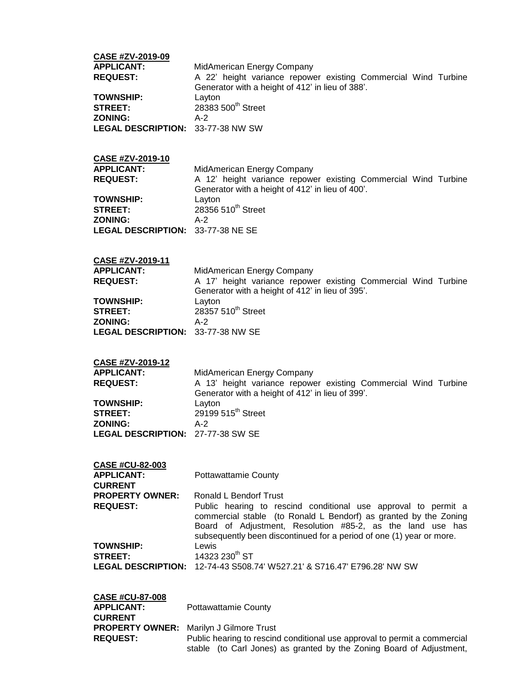| <b>CASE #ZV-2019-09</b><br><b>APPLICANT:</b><br><b>REQUEST:</b><br><b>TOWNSHIP:</b><br><b>STREET:</b><br><b>ZONING:</b><br>LEGAL DESCRIPTION: 33-77-38 NW SW | MidAmerican Energy Company<br>A 22' height variance repower existing Commercial Wind Turbine<br>Generator with a height of 412' in lieu of 388'.<br>Layton<br>28383 500 <sup>th</sup> Street<br>$A-2$                                                                                                                                                                                                                                                      |
|--------------------------------------------------------------------------------------------------------------------------------------------------------------|------------------------------------------------------------------------------------------------------------------------------------------------------------------------------------------------------------------------------------------------------------------------------------------------------------------------------------------------------------------------------------------------------------------------------------------------------------|
| CASE #ZV-2019-10<br><b>APPLICANT:</b><br><b>REQUEST:</b><br><b>TOWNSHIP:</b><br><b>STREET:</b><br><b>ZONING:</b><br>LEGAL DESCRIPTION: 33-77-38 NE SE        | MidAmerican Energy Company<br>A 12' height variance repower existing Commercial Wind Turbine<br>Generator with a height of 412' in lieu of 400'.<br>Layton<br>28356 510 <sup>th</sup> Street<br>$A-2$                                                                                                                                                                                                                                                      |
| CASE #ZV-2019-11<br><b>APPLICANT:</b><br><b>REQUEST:</b><br><b>TOWNSHIP:</b><br><b>STREET:</b><br><b>ZONING:</b><br>LEGAL DESCRIPTION: 33-77-38 NW SE        | MidAmerican Energy Company<br>A 17' height variance repower existing Commercial Wind Turbine<br>Generator with a height of 412' in lieu of 395'.<br>Layton<br>28357 510 <sup>th</sup> Street<br>$A-2$                                                                                                                                                                                                                                                      |
| CASE #ZV-2019-12<br><b>APPLICANT:</b><br><b>REQUEST:</b><br><b>TOWNSHIP:</b><br><b>STREET:</b><br><b>ZONING:</b><br>LEGAL DESCRIPTION: 27-77-38 SW SE        | MidAmerican Energy Company<br>A 13' height variance repower existing Commercial Wind Turbine<br>Generator with a height of 412' in lieu of 399'.<br>Layton<br>29199 515 <sup>th</sup> Street<br>$A-2$                                                                                                                                                                                                                                                      |
| <b>CASE #CU-82-003</b><br><b>APPLICANT:</b><br><b>CURRENT</b><br><b>PROPERTY OWNER:</b><br><b>REQUEST:</b><br><b>TOWNSHIP:</b><br><b>STREET:</b>             | <b>Pottawattamie County</b><br>Ronald L Bendorf Trust<br>Public hearing to rescind conditional use approval to permit a<br>commercial stable (to Ronald L Bendorf) as granted by the Zoning<br>Board of Adjustment, Resolution #85-2, as the land use has<br>subsequently been discontinued for a period of one (1) year or more.<br>Lewis<br>14323 230 <sup>th</sup> ST<br><b>LEGAL DESCRIPTION:</b> 12-74-43 S508.74' W527.21' & S716.47' E796.28' NW SW |
| <b>CASE #CU-87-008</b><br><b>APPLICANT:</b><br><b>CURRENT</b><br><b>PROPERTY OWNER:</b> Marilyn J Gilmore Trust                                              | <b>Pottawattamie County</b>                                                                                                                                                                                                                                                                                                                                                                                                                                |

**REQUEST:** Public hearing to rescind conditional use approval to permit a commercial

stable (to Carl Jones) as granted by the Zoning Board of Adjustment,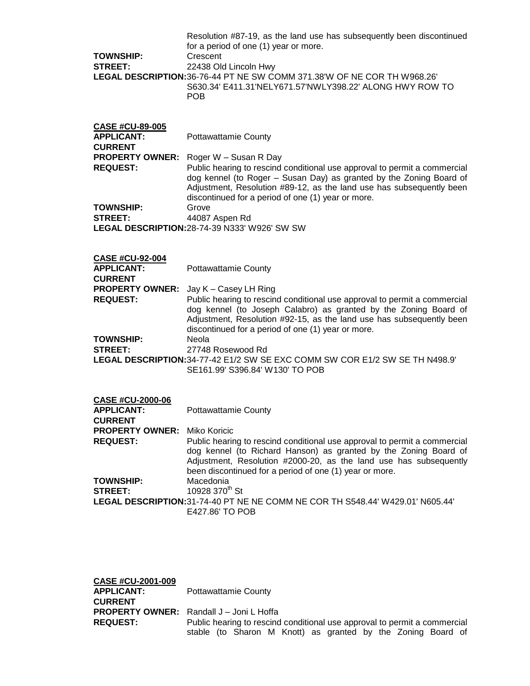| <b>TOWNSHIP:</b><br><b>STREET:</b>                             | Resolution #87-19, as the land use has subsequently been discontinued<br>for a period of one (1) year or more.<br>Crescent<br>22438 Old Lincoln Hwy<br>LEGAL DESCRIPTION: 36-76-44 PT NE SW COMM 371.38'W OF NE COR TH W968.26'<br>S630.34' E411.31'NELY671.57'NWLY398.22' ALONG HWY ROW TO<br>POB                          |
|----------------------------------------------------------------|-----------------------------------------------------------------------------------------------------------------------------------------------------------------------------------------------------------------------------------------------------------------------------------------------------------------------------|
| <b>CASE #CU-89-005</b><br><b>APPLICANT:</b>                    | <b>Pottawattamie County</b>                                                                                                                                                                                                                                                                                                 |
| <b>CURRENT</b><br><b>PROPERTY OWNER:</b><br><b>REQUEST:</b>    | Roger W - Susan R Day<br>Public hearing to rescind conditional use approval to permit a commercial<br>dog kennel (to Roger - Susan Day) as granted by the Zoning Board of<br>Adjustment, Resolution #89-12, as the land use has subsequently been<br>discontinued for a period of one (1) year or more.                     |
| <b>TOWNSHIP:</b>                                               | Grove                                                                                                                                                                                                                                                                                                                       |
| <b>STREET:</b>                                                 | 44087 Aspen Rd<br>LEGAL DESCRIPTION: 28-74-39 N333' W926' SW SW                                                                                                                                                                                                                                                             |
|                                                                |                                                                                                                                                                                                                                                                                                                             |
|                                                                |                                                                                                                                                                                                                                                                                                                             |
| <b>CASE #CU-92-004</b><br><b>APPLICANT:</b>                    | <b>Pottawattamie County</b>                                                                                                                                                                                                                                                                                                 |
| <b>CURRENT</b>                                                 |                                                                                                                                                                                                                                                                                                                             |
| <b>REQUEST:</b>                                                | <b>PROPERTY OWNER:</b> Jay K - Casey LH Ring<br>Public hearing to rescind conditional use approval to permit a commercial<br>dog kennel (to Joseph Calabro) as granted by the Zoning Board of<br>Adjustment, Resolution #92-15, as the land use has subsequently been<br>discontinued for a period of one (1) year or more. |
| <b>TOWNSHIP:</b>                                               | Neola                                                                                                                                                                                                                                                                                                                       |
| <b>STREET:</b>                                                 | 27748 Rosewood Rd                                                                                                                                                                                                                                                                                                           |
|                                                                | LEGAL DESCRIPTION: 34-77-42 E1/2 SW SE EXC COMM SW COR E1/2 SW SE TH N498.9'<br>SE161.99' S396.84' W130' TO POB                                                                                                                                                                                                             |
|                                                                |                                                                                                                                                                                                                                                                                                                             |
| <b>CASE #CU-2000-06</b><br><b>APPLICANT:</b><br><b>CURRENT</b> | <b>Pottawattamie County</b>                                                                                                                                                                                                                                                                                                 |
| <b>PROPERTY OWNER:</b><br><b>REQUEST:</b>                      | Miko Koricic<br>Public hearing to rescind conditional use approval to permit a commercial                                                                                                                                                                                                                                   |
| <b>TOWNSHIP:</b>                                               | dog kennel (to Richard Hanson) as granted by the Zoning Board of<br>Adjustment, Resolution #2000-20, as the land use has subsequently<br>been discontinued for a period of one (1) year or more.<br>Macedonia                                                                                                               |
| <b>STREET:</b>                                                 | 10928 370 <sup>th</sup> St<br>LEGAL DESCRIPTION: 31-74-40 PT NE NE COMM NE COR TH S548.44' W429.01' N605.44'<br>E427.86' TO POB                                                                                                                                                                                             |

| CASE #CU-2001-009 |                                                                           |
|-------------------|---------------------------------------------------------------------------|
| <b>APPLICANT:</b> | <b>Pottawattamie County</b>                                               |
| <b>CURRENT</b>    |                                                                           |
|                   | <b>PROPERTY OWNER:</b> Randall J – Joni L Hoffa                           |
| <b>REQUEST:</b>   | Public hearing to rescind conditional use approval to permit a commercial |
|                   | stable (to Sharon M Knott) as granted by the Zoning Board of              |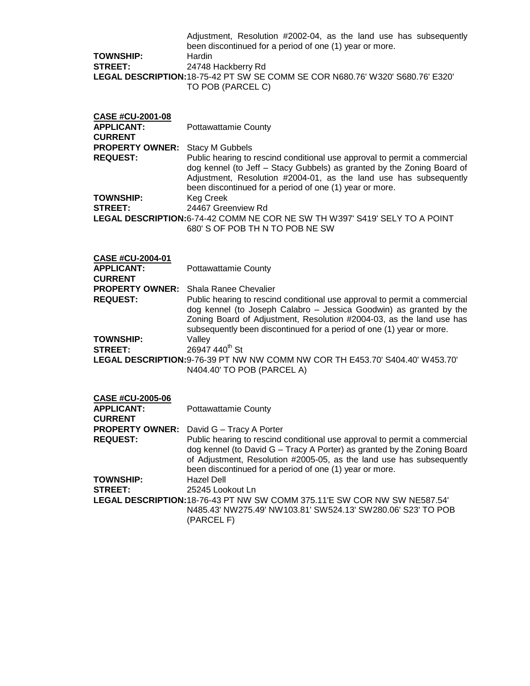|                                                                               | Adjustment, Resolution #2002-04, as the land use has subsequently<br>been discontinued for a period of one (1) year or more. |
|-------------------------------------------------------------------------------|------------------------------------------------------------------------------------------------------------------------------|
| <b>TOWNSHIP:</b>                                                              | <b>Hardin</b>                                                                                                                |
| <b>STREET:</b>                                                                | 24748 Hackberry Rd                                                                                                           |
| LEGAL DESCRIPTION:18-75-42 PT SW SE COMM SE COR N680.76' W320' S680.76' E320' |                                                                                                                              |
|                                                                               | TO POB (PARCEL C)                                                                                                            |

| <b>CASE #CU-2001-08</b><br><b>APPLICANT:</b><br><b>CURRENT</b> | Pottawattamie County                                                                                                                                                                                                                                                                |
|----------------------------------------------------------------|-------------------------------------------------------------------------------------------------------------------------------------------------------------------------------------------------------------------------------------------------------------------------------------|
| <b>PROPERTY OWNER:</b> Stacy M Gubbels                         |                                                                                                                                                                                                                                                                                     |
| <b>REQUEST:</b>                                                | Public hearing to rescind conditional use approval to permit a commercial<br>dog kennel (to Jeff - Stacy Gubbels) as granted by the Zoning Board of<br>Adjustment, Resolution #2004-01, as the land use has subsequently<br>been discontinued for a period of one (1) year or more. |
| <b>TOWNSHIP:</b>                                               | Keg Creek                                                                                                                                                                                                                                                                           |
| <b>STREET:</b>                                                 | 24467 Greenview Rd                                                                                                                                                                                                                                                                  |
|                                                                | <b>LEGAL DESCRIPTION:</b> 6-74-42 COMM NE COR NE SW TH W397' S419' SELY TO A POINT<br>680' S OF POB TH N TO POB NE SW                                                                                                                                                               |

| <b>CASE #CU-2004-01</b>                      |                                                                                                                                                                                                                                                                                                 |
|----------------------------------------------|-------------------------------------------------------------------------------------------------------------------------------------------------------------------------------------------------------------------------------------------------------------------------------------------------|
| <b>APPLICANT:</b>                            | <b>Pottawattamie County</b>                                                                                                                                                                                                                                                                     |
| <b>CURRENT</b>                               |                                                                                                                                                                                                                                                                                                 |
| <b>PROPERTY OWNER:</b> Shala Ranee Chevalier |                                                                                                                                                                                                                                                                                                 |
| <b>REQUEST:</b>                              | Public hearing to rescind conditional use approval to permit a commercial<br>dog kennel (to Joseph Calabro - Jessica Goodwin) as granted by the<br>Zoning Board of Adjustment, Resolution #2004-03, as the land use has<br>subsequently been discontinued for a period of one (1) year or more. |
| <b>TOWNSHIP:</b>                             | Valley                                                                                                                                                                                                                                                                                          |
| <b>STREET:</b>                               | 26947 440 <sup>th</sup> St                                                                                                                                                                                                                                                                      |
|                                              | <b>LEGAL DESCRIPTION:</b> 9-76-39 PT NW NW COMM NW COR TH E453.70' S404.40' W453.70'<br>N404.40' TO POB (PARCEL A)                                                                                                                                                                              |
| <b>CASE #CU-2005-06</b>                      |                                                                                                                                                                                                                                                                                                 |

| Public hearing to rescind conditional use approval to permit a commercial<br>dog kennel (to David G - Tracy A Porter) as granted by the Zoning Board<br>of Adjustment, Resolution #2005-05, as the land use has subsequently |
|------------------------------------------------------------------------------------------------------------------------------------------------------------------------------------------------------------------------------|
|                                                                                                                                                                                                                              |
|                                                                                                                                                                                                                              |
| LEGAL DESCRIPTION:18-76-43 PT NW SW COMM 375.11'E SW COR NW SW NE587.54'<br>N485.43' NW275.49' NW103.81' SW524.13' SW280.06' S23' TO POB                                                                                     |
|                                                                                                                                                                                                                              |